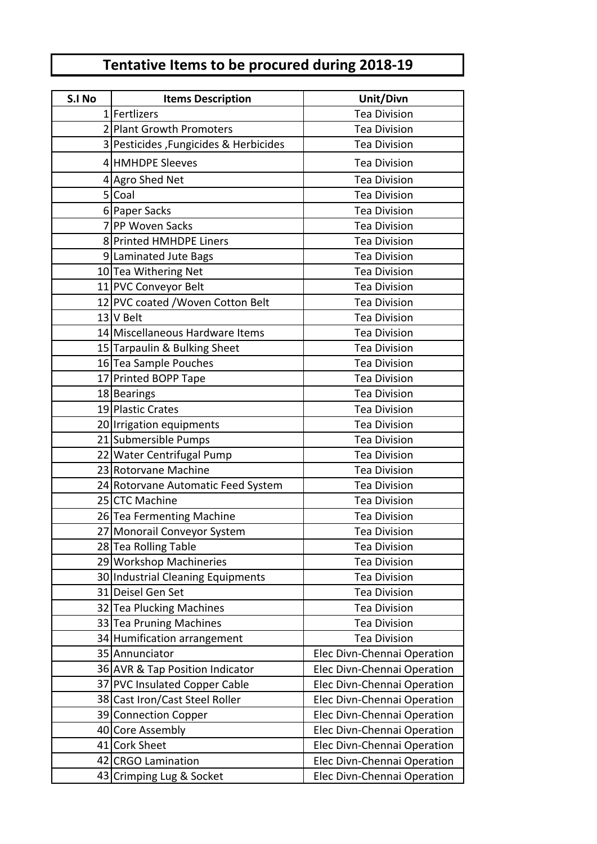## **Tentative Items to be procured during 2018-19**

| S.I No | <b>Items Description</b>              | Unit/Divn                   |
|--------|---------------------------------------|-----------------------------|
|        | 1   Fertlizers                        | <b>Tea Division</b>         |
|        | 2 Plant Growth Promoters              | <b>Tea Division</b>         |
|        | 3 Pesticides, Fungicides & Herbicides | <b>Tea Division</b>         |
|        | 4 HMHDPE Sleeves                      | <b>Tea Division</b>         |
|        | 4 Agro Shed Net                       | <b>Tea Division</b>         |
|        | 5 Coal                                | <b>Tea Division</b>         |
|        | 6 Paper Sacks                         | <b>Tea Division</b>         |
|        | 7 PP Woven Sacks                      | <b>Tea Division</b>         |
|        | 8 Printed HMHDPE Liners               | <b>Tea Division</b>         |
|        | 9 Laminated Jute Bags                 | <b>Tea Division</b>         |
|        | 10 Tea Withering Net                  | <b>Tea Division</b>         |
|        | 11 PVC Conveyor Belt                  | <b>Tea Division</b>         |
|        | 12 PVC coated / Woven Cotton Belt     | <b>Tea Division</b>         |
|        | 13 V Belt                             | <b>Tea Division</b>         |
|        | 14 Miscellaneous Hardware Items       | <b>Tea Division</b>         |
|        | 15 Tarpaulin & Bulking Sheet          | <b>Tea Division</b>         |
|        | 16 Tea Sample Pouches                 | <b>Tea Division</b>         |
|        | 17 Printed BOPP Tape                  | <b>Tea Division</b>         |
|        | 18 Bearings                           | <b>Tea Division</b>         |
|        | 19 Plastic Crates                     | <b>Tea Division</b>         |
|        | 20 Irrigation equipments              | <b>Tea Division</b>         |
|        | 21 Submersible Pumps                  | <b>Tea Division</b>         |
|        | 22 Water Centrifugal Pump             | <b>Tea Division</b>         |
|        | 23 Rotorvane Machine                  | <b>Tea Division</b>         |
|        | 24 Rotorvane Automatic Feed System    | <b>Tea Division</b>         |
|        | 25 CTC Machine                        | <b>Tea Division</b>         |
|        | 26 Tea Fermenting Machine             | <b>Tea Division</b>         |
|        | 27 Monorail Conveyor System           | <b>Tea Division</b>         |
|        | 28 Tea Rolling Table                  | <b>Tea Division</b>         |
|        | 29 Workshop Machineries               | <b>Tea Division</b>         |
|        | 30 Industrial Cleaning Equipments     | <b>Tea Division</b>         |
|        | 31 Deisel Gen Set                     | <b>Tea Division</b>         |
|        | 32 Tea Plucking Machines              | <b>Tea Division</b>         |
|        | 33 Tea Pruning Machines               | <b>Tea Division</b>         |
|        | 34 Humification arrangement           | <b>Tea Division</b>         |
|        | 35 Annunciator                        | Elec Divn-Chennai Operation |
|        | 36 AVR & Tap Position Indicator       | Elec Divn-Chennai Operation |
|        | 37 PVC Insulated Copper Cable         | Elec Divn-Chennai Operation |
|        | 38 Cast Iron/Cast Steel Roller        | Elec Divn-Chennai Operation |
|        | 39 Connection Copper                  | Elec Divn-Chennai Operation |
|        | 40 Core Assembly                      | Elec Divn-Chennai Operation |
|        | 41 Cork Sheet                         | Elec Divn-Chennai Operation |
|        | 42 CRGO Lamination                    | Elec Divn-Chennai Operation |
|        | 43 Crimping Lug & Socket              | Elec Divn-Chennai Operation |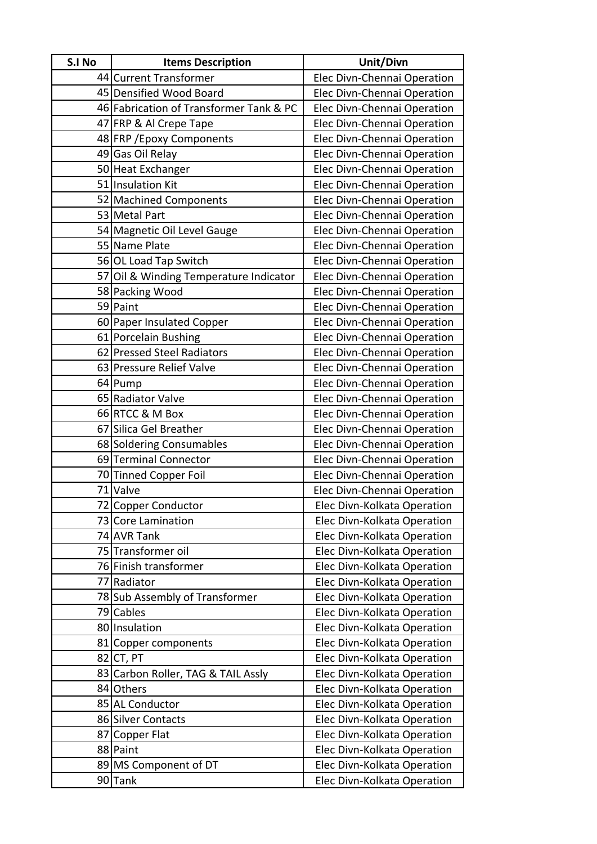| S.I No | <b>Items Description</b>                | Unit/Divn                   |
|--------|-----------------------------------------|-----------------------------|
|        | 44 Current Transformer                  | Elec Divn-Chennai Operation |
|        | 45 Densified Wood Board                 | Elec Divn-Chennai Operation |
|        | 46 Fabrication of Transformer Tank & PC | Elec Divn-Chennai Operation |
|        | 47 FRP & Al Crepe Tape                  | Elec Divn-Chennai Operation |
|        | 48 FRP / Epoxy Components               | Elec Divn-Chennai Operation |
|        | 49 Gas Oil Relay                        | Elec Divn-Chennai Operation |
|        | 50 Heat Exchanger                       | Elec Divn-Chennai Operation |
|        | 51 Insulation Kit                       | Elec Divn-Chennai Operation |
|        | 52 Machined Components                  | Elec Divn-Chennai Operation |
|        | 53 Metal Part                           | Elec Divn-Chennai Operation |
|        | 54 Magnetic Oil Level Gauge             | Elec Divn-Chennai Operation |
|        | 55 Name Plate                           | Elec Divn-Chennai Operation |
|        | 56 OL Load Tap Switch                   | Elec Divn-Chennai Operation |
|        | 57 Oil & Winding Temperature Indicator  | Elec Divn-Chennai Operation |
|        | 58 Packing Wood                         | Elec Divn-Chennai Operation |
|        | 59 Paint                                | Elec Divn-Chennai Operation |
|        | 60 Paper Insulated Copper               | Elec Divn-Chennai Operation |
|        | 61 Porcelain Bushing                    | Elec Divn-Chennai Operation |
|        | 62 Pressed Steel Radiators              | Elec Divn-Chennai Operation |
|        | 63 Pressure Relief Valve                | Elec Divn-Chennai Operation |
|        | 64 Pump                                 | Elec Divn-Chennai Operation |
|        | 65 Radiator Valve                       | Elec Divn-Chennai Operation |
|        | 66 RTCC & M Box                         | Elec Divn-Chennai Operation |
|        | 67 Silica Gel Breather                  | Elec Divn-Chennai Operation |
|        | 68 Soldering Consumables                | Elec Divn-Chennai Operation |
|        | 69 Terminal Connector                   | Elec Divn-Chennai Operation |
|        | 70 Tinned Copper Foil                   | Elec Divn-Chennai Operation |
|        | 71 Valve                                | Elec Divn-Chennai Operation |
|        | 72 Copper Conductor                     | Elec Divn-Kolkata Operation |
|        | 73 Core Lamination                      | Elec Divn-Kolkata Operation |
|        | 74 AVR Tank                             | Elec Divn-Kolkata Operation |
|        | 75 Transformer oil                      | Elec Divn-Kolkata Operation |
|        | 76 Finish transformer                   | Elec Divn-Kolkata Operation |
|        | 77 Radiator                             | Elec Divn-Kolkata Operation |
|        | 78 Sub Assembly of Transformer          | Elec Divn-Kolkata Operation |
|        | 79 Cables                               | Elec Divn-Kolkata Operation |
|        | 80 Insulation                           | Elec Divn-Kolkata Operation |
|        | 81 Copper components                    | Elec Divn-Kolkata Operation |
|        | 82 CT, PT                               | Elec Divn-Kolkata Operation |
|        | 83 Carbon Roller, TAG & TAIL Assly      | Elec Divn-Kolkata Operation |
|        | 84 Others                               | Elec Divn-Kolkata Operation |
|        | 85 AL Conductor                         | Elec Divn-Kolkata Operation |
|        | 86 Silver Contacts                      | Elec Divn-Kolkata Operation |
|        | 87 Copper Flat                          | Elec Divn-Kolkata Operation |
|        | 88 Paint                                | Elec Divn-Kolkata Operation |
|        | 89 MS Component of DT                   | Elec Divn-Kolkata Operation |
|        | 90 Tank                                 | Elec Divn-Kolkata Operation |